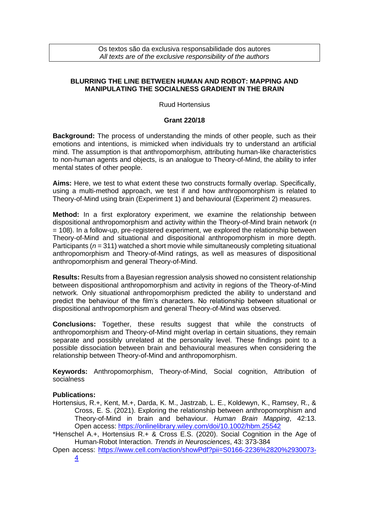Os textos são da exclusiva responsabilidade dos autores *All texts are of the exclusive responsibility of the authors*

## **BLURRING THE LINE BETWEEN HUMAN AND ROBOT: MAPPING AND MANIPULATING THE SOCIALNESS GRADIENT IN THE BRAIN**

Ruud Hortensius

## **Grant 220/18**

**Background:** The process of understanding the minds of other people, such as their emotions and intentions, is mimicked when individuals try to understand an artificial mind. The assumption is that anthropomorphism, attributing human-like characteristics to non-human agents and objects, is an analogue to Theory-of-Mind, the ability to infer mental states of other people.

**Aims:** Here, we test to what extent these two constructs formally overlap. Specifically, using a multi-method approach, we test if and how anthropomorphism is related to Theory-of-Mind using brain (Experiment 1) and behavioural (Experiment 2) measures.

**Method:** In a first exploratory experiment, we examine the relationship between dispositional anthropomorphism and activity within the Theory-of-Mind brain network (*n* = 108). In a follow-up, pre-registered experiment, we explored the relationship between Theory-of-Mind and situational and dispositional anthropomorphism in more depth. Participants (*n* = 311) watched a short movie while simultaneously completing situational anthropomorphism and Theory-of-Mind ratings, as well as measures of dispositional anthropomorphism and general Theory-of-Mind.

**Results:** Results from a Bayesian regression analysis showed no consistent relationship between dispositional anthropomorphism and activity in regions of the Theory-of-Mind network. Only situational anthropomorphism predicted the ability to understand and predict the behaviour of the film's characters. No relationship between situational or dispositional anthropomorphism and general Theory-of-Mind was observed.

**Conclusions:** Together, these results suggest that while the constructs of anthropomorphism and Theory-of-Mind might overlap in certain situations, they remain separate and possibly unrelated at the personality level. These findings point to a possible dissociation between brain and behavioural measures when considering the relationship between Theory-of-Mind and anthropomorphism.

**Keywords:** Anthropomorphism, Theory-of-Mind, Social cognition, Attribution of socialness

## **Publications:**

- Hortensius, R.+, Kent, M.+, Darda, K. M., Jastrzab, L. E., Koldewyn, K., Ramsey, R., & Cross, E. S. (2021). Exploring the relationship between anthropomorphism and Theory-of-Mind in brain and behaviour. *Human Brain Mapping*, 42:13. Open access:<https://onlinelibrary.wiley.com/doi/10.1002/hbm.25542>
- \*Henschel A.+, Hortensius R.+ & Cross E.S. (2020). Social Cognition in the Age of Human-Robot Interaction. *Trends in Neurosciences*, 43: 373-384
- Open access: [https://www.cell.com/action/showPdf?pii=S0166-2236%2820%2930073-](https://www.cell.com/action/showPdf?pii=S0166-2236%2820%2930073-4) [4](https://www.cell.com/action/showPdf?pii=S0166-2236%2820%2930073-4)